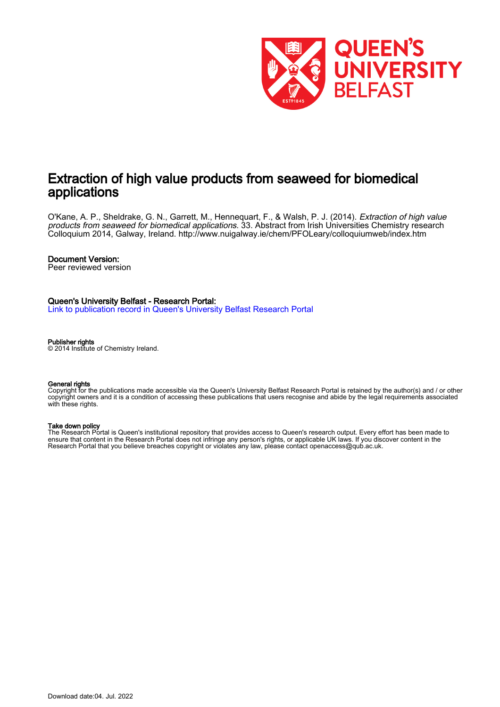

# Extraction of high value products from seaweed for biomedical applications

O'Kane, A. P., Sheldrake, G. N., Garrett, M., Hennequart, F., & Walsh, P. J. (2014). *Extraction of high value* products from seaweed for biomedical applications. 33. Abstract from Irish Universities Chemistry research Colloquium 2014, Galway, Ireland. <http://www.nuigalway.ie/chem/PFOLeary/colloquiumweb/index.htm>

### Document Version:

Peer reviewed version

### Queen's University Belfast - Research Portal:

[Link to publication record in Queen's University Belfast Research Portal](https://pure.qub.ac.uk/en/publications/812d9985-04f8-482d-bf0c-10197a50e191)

#### Publisher rights

© 2014 Institute of Chemistry Ireland.

#### General rights

Copyright for the publications made accessible via the Queen's University Belfast Research Portal is retained by the author(s) and / or other copyright owners and it is a condition of accessing these publications that users recognise and abide by the legal requirements associated with these rights.

#### Take down policy

The Research Portal is Queen's institutional repository that provides access to Queen's research output. Every effort has been made to ensure that content in the Research Portal does not infringe any person's rights, or applicable UK laws. If you discover content in the Research Portal that you believe breaches copyright or violates any law, please contact openaccess@qub.ac.uk.